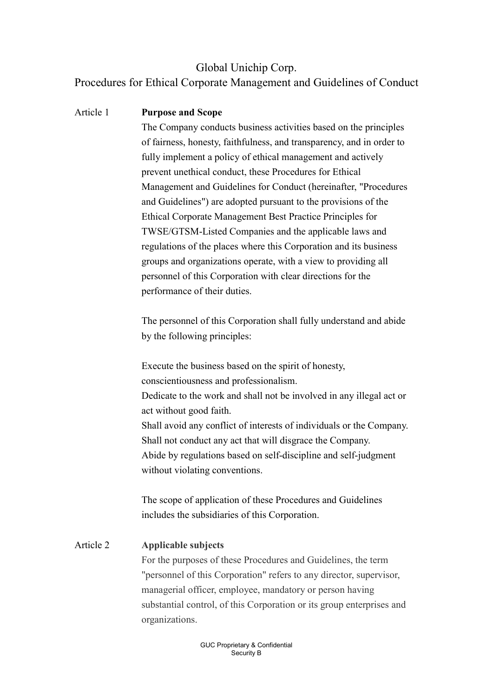## Global Unichip Corp. Procedures for Ethical Corporate Management and Guidelines of Conduct

### Article 1 Purpose and Scope

The Company conducts business activities based on the principles of fairness, honesty, faithfulness, and transparency, and in order to fully implement a policy of ethical management and actively prevent unethical conduct, these Procedures for Ethical Management and Guidelines for Conduct (hereinafter, "Procedures and Guidelines") are adopted pursuant to the provisions of the Ethical Corporate Management Best Practice Principles for TWSE/GTSM-Listed Companies and the applicable laws and regulations of the places where this Corporation and its business groups and organizations operate, with a view to providing all personnel of this Corporation with clear directions for the performance of their duties.

The personnel of this Corporation shall fully understand and abide by the following principles:

Execute the business based on the spirit of honesty, conscientiousness and professionalism. Dedicate to the work and shall not be involved in any illegal act or act without good faith. Shall avoid any conflict of interests of individuals or the Company. Shall not conduct any act that will disgrace the Company. Abide by regulations based on self-discipline and self-judgment without violating conventions.

The scope of application of these Procedures and Guidelines includes the subsidiaries of this Corporation.

#### Article 2 Applicable subjects

For the purposes of these Procedures and Guidelines, the term "personnel of this Corporation" refers to any director, supervisor, managerial officer, employee, mandatory or person having substantial control, of this Corporation or its group enterprises and organizations.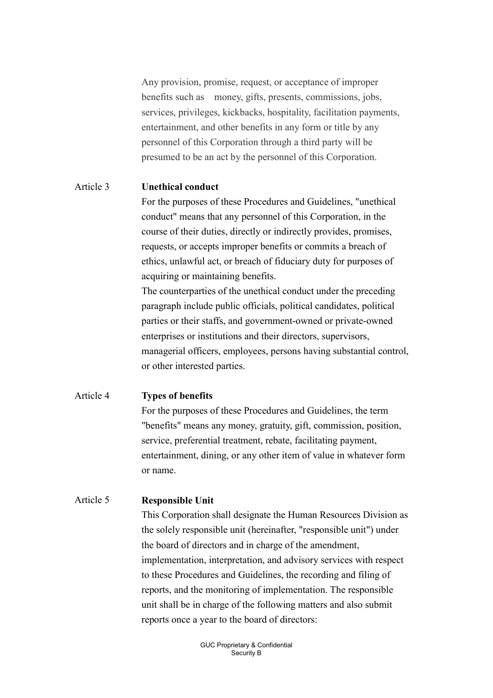Any provision, promise, request, or acceptance of improper benefits such as money, gifts, presents, commissions, jobs, services, privileges, kickbacks, hospitality, facilitation payments, entertainment, and other benefits in any form or title by any personnel of this Corporation through a third party will be presumed to be an act by the personnel of this Corporation.

#### Article 3 Unethical conduct

For the purposes of these Procedures and Guidelines, "unethical conduct" means that any personnel of this Corporation, in the course of their duties, directly or indirectly provides, promises, requests, or accepts improper benefits or commits a breach of ethics, unlawful act, or breach of fiduciary duty for purposes of acquiring or maintaining benefits.

The counterparties of the unethical conduct under the preceding paragraph include public officials, political candidates, political parties or their staffs, and government-owned or private-owned enterprises or institutions and their directors, supervisors, managerial officers, employees, persons having substantial control, or other interested parties.

#### Article 4 Types of benefits

For the purposes of these Procedures and Guidelines, the term "benefits" means any money, gratuity, gift, commission, position, service, preferential treatment, rebate, facilitating payment, entertainment, dining, or any other item of value in whatever form or name.

#### Article 5 Responsible Unit

This Corporation shall designate the Human Resources Division as the solely responsible unit (hereinafter, "responsible unit") under the board of directors and in charge of the amendment, implementation, interpretation, and advisory services with respect to these Procedures and Guidelines, the recording and filing of reports, and the monitoring of implementation. The responsible unit shall be in charge of the following matters and also submit reports once a year to the board of directors: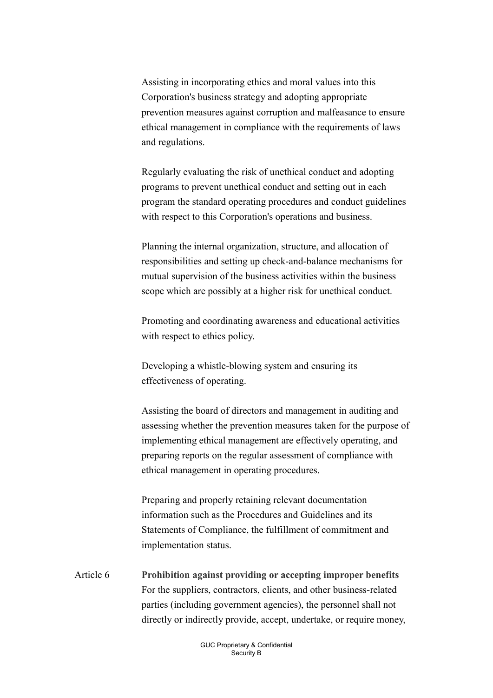Assisting in incorporating ethics and moral values into this Corporation's business strategy and adopting appropriate prevention measures against corruption and malfeasance to ensure ethical management in compliance with the requirements of laws and regulations.

Regularly evaluating the risk of unethical conduct and adopting programs to prevent unethical conduct and setting out in each program the standard operating procedures and conduct guidelines with respect to this Corporation's operations and business.

Planning the internal organization, structure, and allocation of responsibilities and setting up check-and-balance mechanisms for mutual supervision of the business activities within the business scope which are possibly at a higher risk for unethical conduct.

Promoting and coordinating awareness and educational activities with respect to ethics policy.

Developing a whistle-blowing system and ensuring its effectiveness of operating.

Assisting the board of directors and management in auditing and assessing whether the prevention measures taken for the purpose of implementing ethical management are effectively operating, and preparing reports on the regular assessment of compliance with ethical management in operating procedures.

Preparing and properly retaining relevant documentation information such as the Procedures and Guidelines and its Statements of Compliance, the fulfillment of commitment and implementation status.

Article 6 Prohibition against providing or accepting improper benefits For the suppliers, contractors, clients, and other business-related parties (including government agencies), the personnel shall not directly or indirectly provide, accept, undertake, or require money,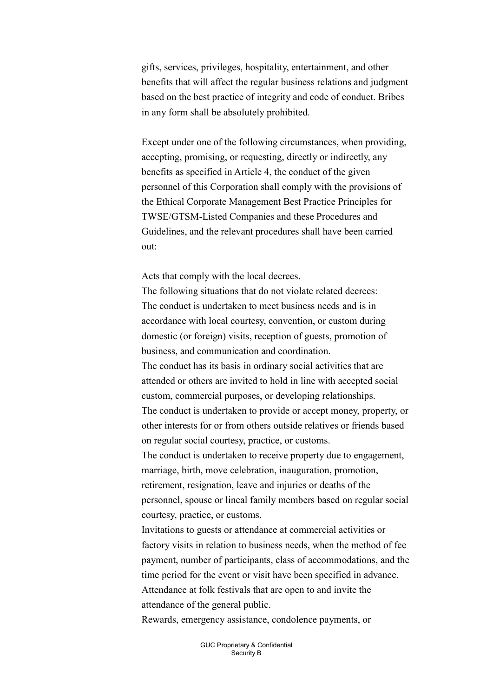gifts, services, privileges, hospitality, entertainment, and other benefits that will affect the regular business relations and judgment based on the best practice of integrity and code of conduct. Bribes in any form shall be absolutely prohibited.

Except under one of the following circumstances, when providing, accepting, promising, or requesting, directly or indirectly, any benefits as specified in Article 4, the conduct of the given personnel of this Corporation shall comply with the provisions of the Ethical Corporate Management Best Practice Principles for TWSE/GTSM-Listed Companies and these Procedures and Guidelines, and the relevant procedures shall have been carried out:

Acts that comply with the local decrees.

The following situations that do not violate related decrees: The conduct is undertaken to meet business needs and is in accordance with local courtesy, convention, or custom during domestic (or foreign) visits, reception of guests, promotion of business, and communication and coordination.

The conduct has its basis in ordinary social activities that are attended or others are invited to hold in line with accepted social custom, commercial purposes, or developing relationships.

The conduct is undertaken to provide or accept money, property, or other interests for or from others outside relatives or friends based on regular social courtesy, practice, or customs.

The conduct is undertaken to receive property due to engagement, marriage, birth, move celebration, inauguration, promotion, retirement, resignation, leave and injuries or deaths of the personnel, spouse or lineal family members based on regular social courtesy, practice, or customs.

Invitations to guests or attendance at commercial activities or factory visits in relation to business needs, when the method of fee payment, number of participants, class of accommodations, and the time period for the event or visit have been specified in advance. Attendance at folk festivals that are open to and invite the attendance of the general public.

Rewards, emergency assistance, condolence payments, or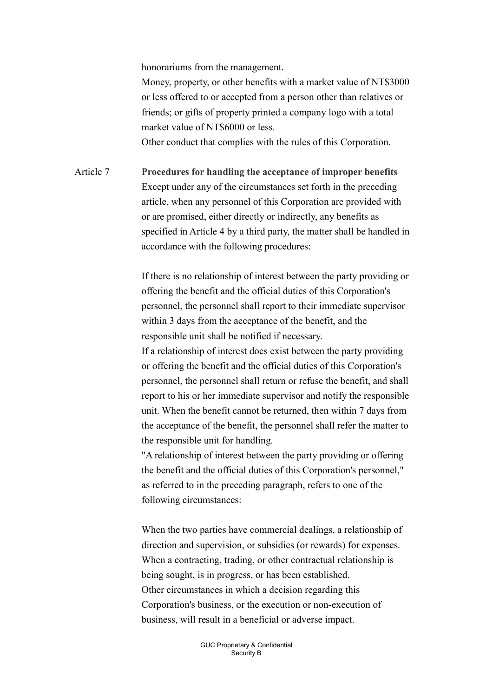honorariums from the management.

Money, property, or other benefits with a market value of NT\$3000 or less offered to or accepted from a person other than relatives or friends; or gifts of property printed a company logo with a total market value of NT\$6000 or less. Other conduct that complies with the rules of this Corporation.

Article 7 Procedures for handling the acceptance of improper benefits Except under any of the circumstances set forth in the preceding article, when any personnel of this Corporation are provided with or are promised, either directly or indirectly, any benefits as specified in Article 4 by a third party, the matter shall be handled in accordance with the following procedures:

> If there is no relationship of interest between the party providing or offering the benefit and the official duties of this Corporation's personnel, the personnel shall report to their immediate supervisor within 3 days from the acceptance of the benefit, and the responsible unit shall be notified if necessary. If a relationship of interest does exist between the party providing or offering the benefit and the official duties of this Corporation's personnel, the personnel shall return or refuse the benefit, and shall report to his or her immediate supervisor and notify the responsible

> unit. When the benefit cannot be returned, then within 7 days from the acceptance of the benefit, the personnel shall refer the matter to the responsible unit for handling.

"A relationship of interest between the party providing or offering the benefit and the official duties of this Corporation's personnel," as referred to in the preceding paragraph, refers to one of the following circumstances:

When the two parties have commercial dealings, a relationship of direction and supervision, or subsidies (or rewards) for expenses. When a contracting, trading, or other contractual relationship is being sought, is in progress, or has been established. Other circumstances in which a decision regarding this Corporation's business, or the execution or non-execution of business, will result in a beneficial or adverse impact.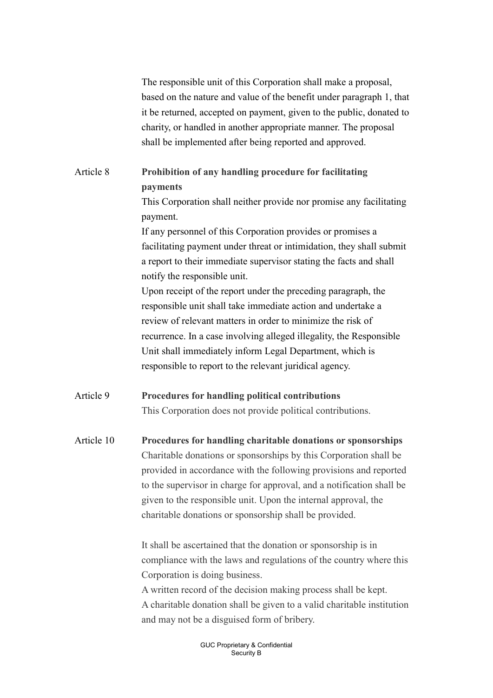The responsible unit of this Corporation shall make a proposal, based on the nature and value of the benefit under paragraph 1, that it be returned, accepted on payment, given to the public, donated to charity, or handled in another appropriate manner. The proposal shall be implemented after being reported and approved.

### Article 8 Prohibition of any handling procedure for facilitating payments

This Corporation shall neither provide nor promise any facilitating payment.

If any personnel of this Corporation provides or promises a facilitating payment under threat or intimidation, they shall submit a report to their immediate supervisor stating the facts and shall notify the responsible unit.

Upon receipt of the report under the preceding paragraph, the responsible unit shall take immediate action and undertake a review of relevant matters in order to minimize the risk of recurrence. In a case involving alleged illegality, the Responsible Unit shall immediately inform Legal Department, which is responsible to report to the relevant juridical agency.

## Article 9 Procedures for handling political contributions This Corporation does not provide political contributions.

Article 10 Procedures for handling charitable donations or sponsorships Charitable donations or sponsorships by this Corporation shall be provided in accordance with the following provisions and reported to the supervisor in charge for approval, and a notification shall be given to the responsible unit. Upon the internal approval, the charitable donations or sponsorship shall be provided.

> It shall be ascertained that the donation or sponsorship is in compliance with the laws and regulations of the country where this Corporation is doing business.

> A written record of the decision making process shall be kept. A charitable donation shall be given to a valid charitable institution and may not be a disguised form of bribery.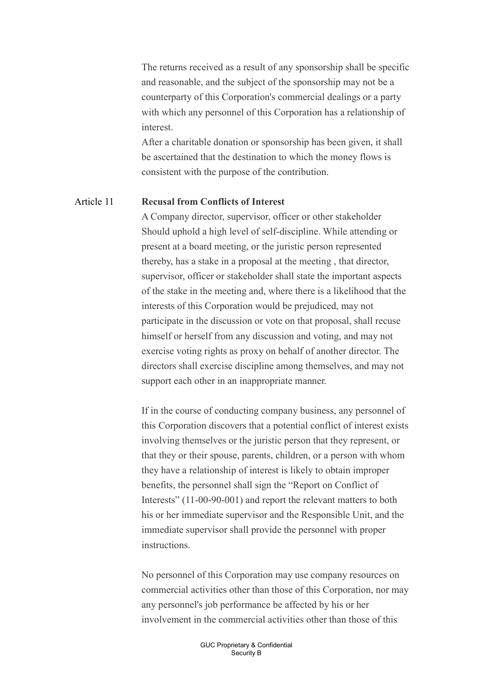The returns received as a result of any sponsorship shall be specific and reasonable, and the subject of the sponsorship may not be a counterparty of this Corporation's commercial dealings or a party with which any personnel of this Corporation has a relationship of interest.

After a charitable donation or sponsorship has been given, it shall be ascertained that the destination to which the money flows is consistent with the purpose of the contribution.

#### Article 11 Recusal from Conflicts of Interest

A Company director, supervisor, officer or other stakeholder Should uphold a high level of self-discipline. While attending or present at a board meeting, or the juristic person represented thereby, has a stake in a proposal at the meeting , that director, supervisor, officer or stakeholder shall state the important aspects of the stake in the meeting and, where there is a likelihood that the interests of this Corporation would be prejudiced, may not participate in the discussion or vote on that proposal, shall recuse himself or herself from any discussion and voting, and may not exercise voting rights as proxy on behalf of another director. The directors shall exercise discipline among themselves, and may not support each other in an inappropriate manner.

If in the course of conducting company business, any personnel of this Corporation discovers that a potential conflict of interest exists involving themselves or the juristic person that they represent, or that they or their spouse, parents, children, or a person with whom they have a relationship of interest is likely to obtain improper benefits, the personnel shall sign the "Report on Conflict of Interests" (11-00-90-001) and report the relevant matters to both his or her immediate supervisor and the Responsible Unit, and the immediate supervisor shall provide the personnel with proper instructions.

No personnel of this Corporation may use company resources on commercial activities other than those of this Corporation, nor may any personnel's job performance be affected by his or her involvement in the commercial activities other than those of this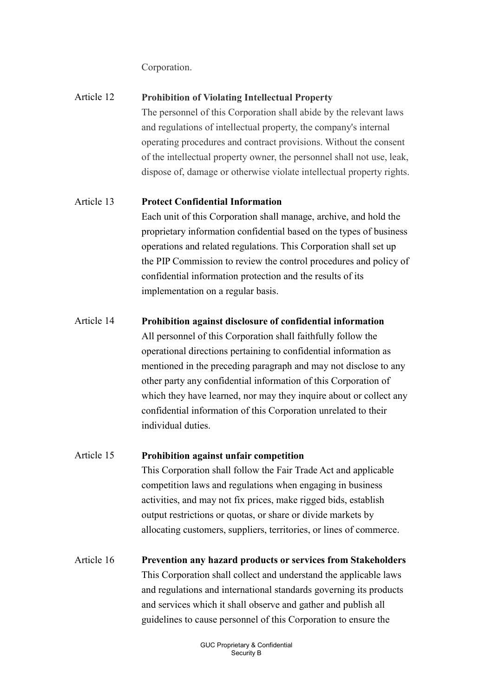Corporation.

| Article 12 | <b>Prohibition of Violating Intellectual Property</b>                  |
|------------|------------------------------------------------------------------------|
|            | The personnel of this Corporation shall abide by the relevant laws     |
|            | and regulations of intellectual property, the company's internal       |
|            | operating procedures and contract provisions. Without the consent      |
|            | of the intellectual property owner, the personnel shall not use, leak, |
|            | dispose of, damage or otherwise violate intellectual property rights.  |

#### Article 13 Protect Confidential Information

Each unit of this Corporation shall manage, archive, and hold the proprietary information confidential based on the types of business operations and related regulations. This Corporation shall set up the PIP Commission to review the control procedures and policy of confidential information protection and the results of its implementation on a regular basis.

#### Article 14 Prohibition against disclosure of confidential information

All personnel of this Corporation shall faithfully follow the operational directions pertaining to confidential information as mentioned in the preceding paragraph and may not disclose to any other party any confidential information of this Corporation of which they have learned, nor may they inquire about or collect any confidential information of this Corporation unrelated to their individual duties.

#### Article 15 Prohibition against unfair competition

This Corporation shall follow the Fair Trade Act and applicable competition laws and regulations when engaging in business activities, and may not fix prices, make rigged bids, establish output restrictions or quotas, or share or divide markets by allocating customers, suppliers, territories, or lines of commerce.

Article 16 Prevention any hazard products or services from Stakeholders This Corporation shall collect and understand the applicable laws and regulations and international standards governing its products and services which it shall observe and gather and publish all guidelines to cause personnel of this Corporation to ensure the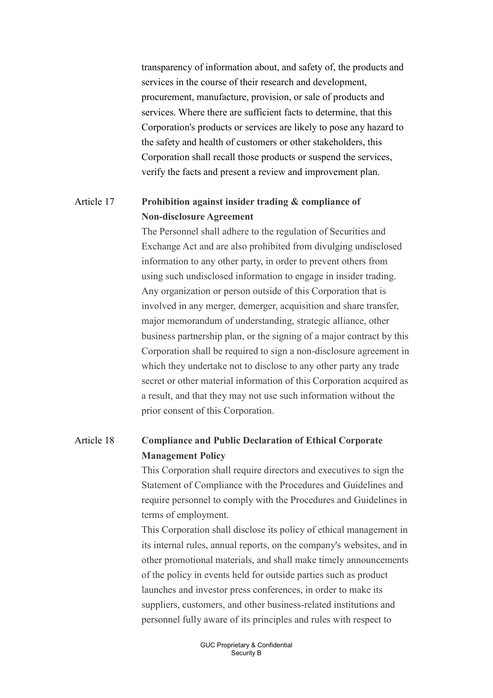transparency of information about, and safety of, the products and services in the course of their research and development, procurement, manufacture, provision, or sale of products and services. Where there are sufficient facts to determine, that this Corporation's products or services are likely to pose any hazard to the safety and health of customers or other stakeholders, this Corporation shall recall those products or suspend the services, verify the facts and present a review and improvement plan.

### Article 17 Prohibition against insider trading & compliance of Non-disclosure Agreement

The Personnel shall adhere to the regulation of Securities and Exchange Act and are also prohibited from divulging undisclosed information to any other party, in order to prevent others from using such undisclosed information to engage in insider trading. Any organization or person outside of this Corporation that is involved in any merger, demerger, acquisition and share transfer, major memorandum of understanding, strategic alliance, other business partnership plan, or the signing of a major contract by this Corporation shall be required to sign a non-disclosure agreement in which they undertake not to disclose to any other party any trade secret or other material information of this Corporation acquired as a result, and that they may not use such information without the prior consent of this Corporation.

### Article 18 Compliance and Public Declaration of Ethical Corporate Management Policy

This Corporation shall require directors and executives to sign the Statement of Compliance with the Procedures and Guidelines and require personnel to comply with the Procedures and Guidelines in terms of employment.

This Corporation shall disclose its policy of ethical management in its internal rules, annual reports, on the company's websites, and in other promotional materials, and shall make timely announcements of the policy in events held for outside parties such as product launches and investor press conferences, in order to make its suppliers, customers, and other business-related institutions and personnel fully aware of its principles and rules with respect to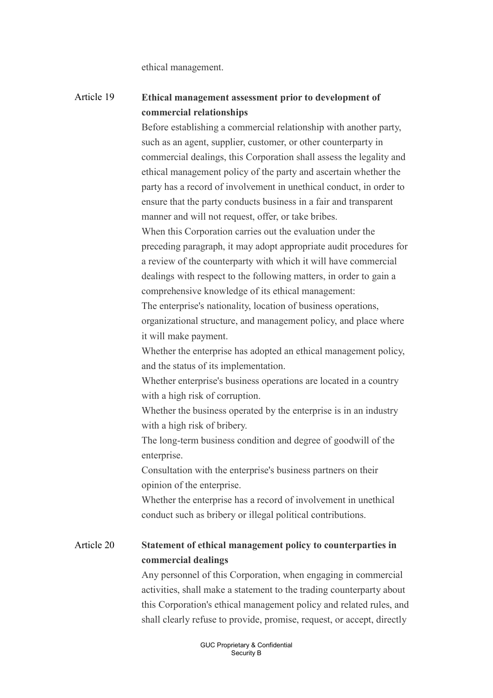ethical management.

## Article 19 Ethical management assessment prior to development of commercial relationships

Before establishing a commercial relationship with another party, such as an agent, supplier, customer, or other counterparty in commercial dealings, this Corporation shall assess the legality and ethical management policy of the party and ascertain whether the party has a record of involvement in unethical conduct, in order to ensure that the party conducts business in a fair and transparent manner and will not request, offer, or take bribes.

When this Corporation carries out the evaluation under the preceding paragraph, it may adopt appropriate audit procedures for a review of the counterparty with which it will have commercial dealings with respect to the following matters, in order to gain a comprehensive knowledge of its ethical management:

The enterprise's nationality, location of business operations, organizational structure, and management policy, and place where it will make payment.

Whether the enterprise has adopted an ethical management policy, and the status of its implementation.

Whether enterprise's business operations are located in a country with a high risk of corruption.

Whether the business operated by the enterprise is in an industry with a high risk of bribery.

The long-term business condition and degree of goodwill of the enterprise.

Consultation with the enterprise's business partners on their opinion of the enterprise.

Whether the enterprise has a record of involvement in unethical conduct such as bribery or illegal political contributions.

## Article 20 Statement of ethical management policy to counterparties in commercial dealings

Any personnel of this Corporation, when engaging in commercial activities, shall make a statement to the trading counterparty about this Corporation's ethical management policy and related rules, and shall clearly refuse to provide, promise, request, or accept, directly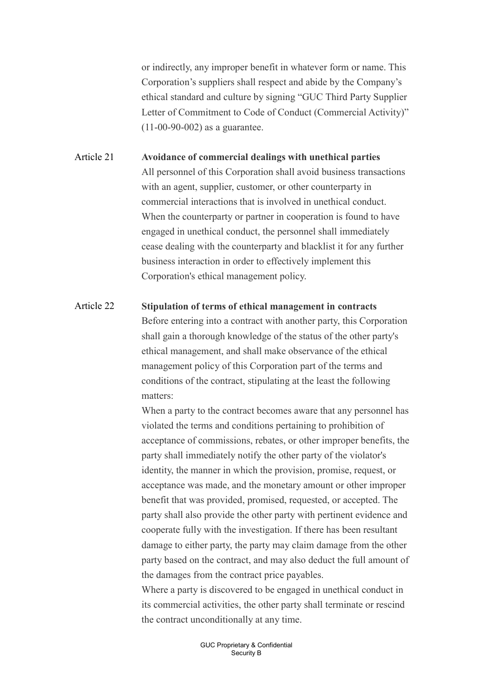or indirectly, any improper benefit in whatever form or name. This Corporation's suppliers shall respect and abide by the Company's ethical standard and culture by signing "GUC Third Party Supplier Letter of Commitment to Code of Conduct (Commercial Activity)" (11-00-90-002) as a guarantee.

Article 21 Avoidance of commercial dealings with unethical parties All personnel of this Corporation shall avoid business transactions with an agent, supplier, customer, or other counterparty in commercial interactions that is involved in unethical conduct. When the counterparty or partner in cooperation is found to have engaged in unethical conduct, the personnel shall immediately cease dealing with the counterparty and blacklist it for any further business interaction in order to effectively implement this Corporation's ethical management policy.

Article 22 Stipulation of terms of ethical management in contracts Before entering into a contract with another party, this Corporation shall gain a thorough knowledge of the status of the other party's ethical management, and shall make observance of the ethical management policy of this Corporation part of the terms and conditions of the contract, stipulating at the least the following matters:

> When a party to the contract becomes aware that any personnel has violated the terms and conditions pertaining to prohibition of acceptance of commissions, rebates, or other improper benefits, the party shall immediately notify the other party of the violator's identity, the manner in which the provision, promise, request, or acceptance was made, and the monetary amount or other improper benefit that was provided, promised, requested, or accepted. The party shall also provide the other party with pertinent evidence and cooperate fully with the investigation. If there has been resultant damage to either party, the party may claim damage from the other party based on the contract, and may also deduct the full amount of the damages from the contract price payables.

Where a party is discovered to be engaged in unethical conduct in its commercial activities, the other party shall terminate or rescind the contract unconditionally at any time.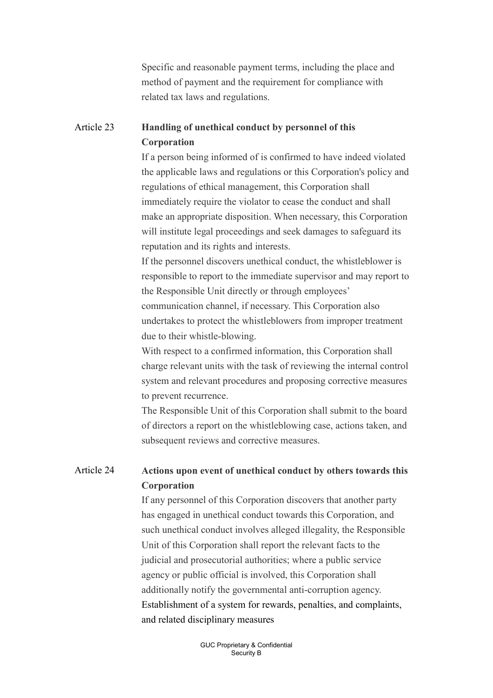Specific and reasonable payment terms, including the place and method of payment and the requirement for compliance with related tax laws and regulations.

### Article 23 Handling of unethical conduct by personnel of this Corporation

If a person being informed of is confirmed to have indeed violated the applicable laws and regulations or this Corporation's policy and regulations of ethical management, this Corporation shall immediately require the violator to cease the conduct and shall make an appropriate disposition. When necessary, this Corporation will institute legal proceedings and seek damages to safeguard its reputation and its rights and interests.

If the personnel discovers unethical conduct, the whistleblower is responsible to report to the immediate supervisor and may report to the Responsible Unit directly or through employees' communication channel, if necessary. This Corporation also undertakes to protect the whistleblowers from improper treatment due to their whistle-blowing.

With respect to a confirmed information, this Corporation shall charge relevant units with the task of reviewing the internal control system and relevant procedures and proposing corrective measures to prevent recurrence.

The Responsible Unit of this Corporation shall submit to the board of directors a report on the whistleblowing case, actions taken, and subsequent reviews and corrective measures.

## Article 24 Actions upon event of unethical conduct by others towards this Corporation

If any personnel of this Corporation discovers that another party has engaged in unethical conduct towards this Corporation, and such unethical conduct involves alleged illegality, the Responsible Unit of this Corporation shall report the relevant facts to the judicial and prosecutorial authorities; where a public service agency or public official is involved, this Corporation shall additionally notify the governmental anti-corruption agency. Establishment of a system for rewards, penalties, and complaints, and related disciplinary measures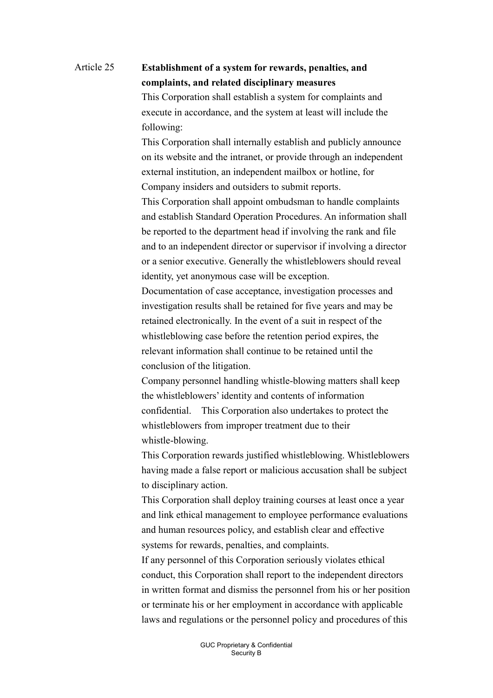# Article 25 Establishment of a system for rewards, penalties, and complaints, and related disciplinary measures

This Corporation shall establish a system for complaints and execute in accordance, and the system at least will include the following:

This Corporation shall internally establish and publicly announce on its website and the intranet, or provide through an independent external institution, an independent mailbox or hotline, for Company insiders and outsiders to submit reports.

This Corporation shall appoint ombudsman to handle complaints and establish Standard Operation Procedures. An information shall be reported to the department head if involving the rank and file and to an independent director or supervisor if involving a director or a senior executive. Generally the whistleblowers should reveal identity, yet anonymous case will be exception.

Documentation of case acceptance, investigation processes and investigation results shall be retained for five years and may be retained electronically. In the event of a suit in respect of the whistleblowing case before the retention period expires, the relevant information shall continue to be retained until the conclusion of the litigation.

Company personnel handling whistle-blowing matters shall keep the whistleblowers' identity and contents of information confidential. This Corporation also undertakes to protect the whistleblowers from improper treatment due to their whistle-blowing.

This Corporation rewards justified whistleblowing. Whistleblowers having made a false report or malicious accusation shall be subject to disciplinary action.

This Corporation shall deploy training courses at least once a year and link ethical management to employee performance evaluations and human resources policy, and establish clear and effective systems for rewards, penalties, and complaints.

If any personnel of this Corporation seriously violates ethical conduct, this Corporation shall report to the independent directors in written format and dismiss the personnel from his or her position or terminate his or her employment in accordance with applicable laws and regulations or the personnel policy and procedures of this